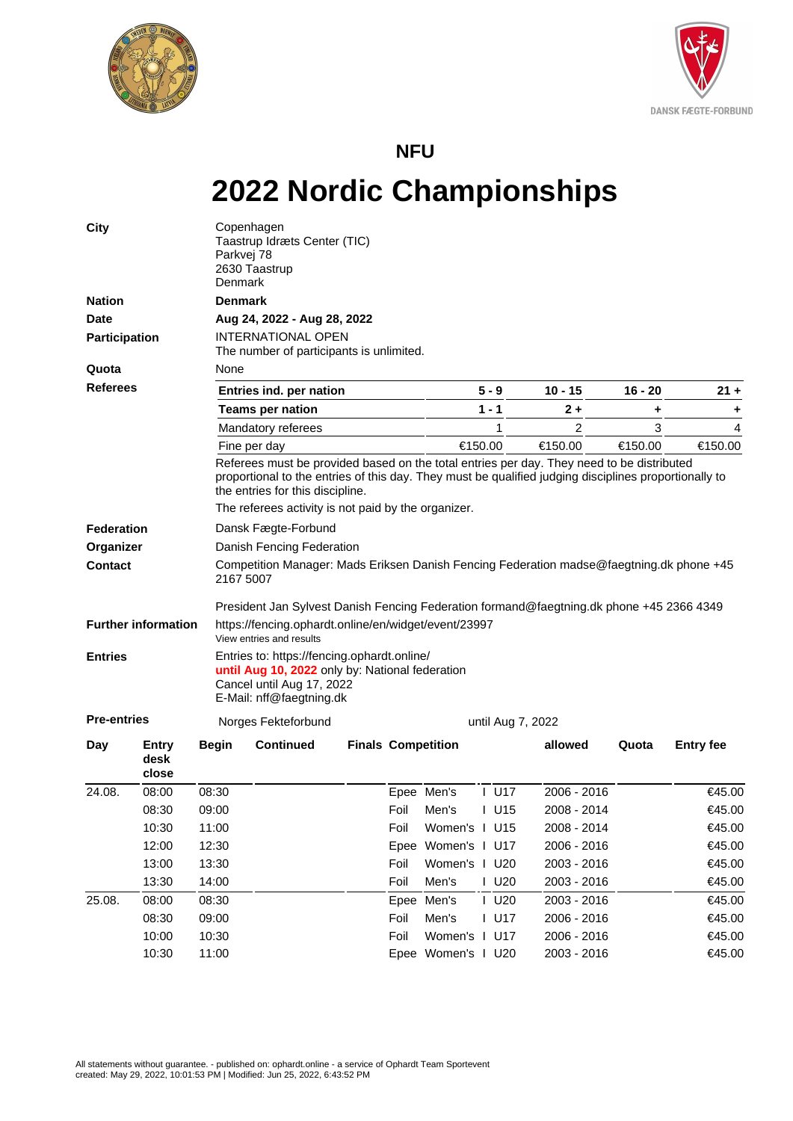



## **NFU**

## **2022 Nordic Championships**

| <b>City</b>          |                               | Parkvej 78<br>Denmark | Copenhagen<br>Taastrup Idræts Center (TIC)<br>2630 Taastrup                                                                                                                                                                            |                           |      |                    |                     |             |           |                  |  |  |  |
|----------------------|-------------------------------|-----------------------|----------------------------------------------------------------------------------------------------------------------------------------------------------------------------------------------------------------------------------------|---------------------------|------|--------------------|---------------------|-------------|-----------|------------------|--|--|--|
| <b>Nation</b>        |                               | <b>Denmark</b>        |                                                                                                                                                                                                                                        |                           |      |                    |                     |             |           |                  |  |  |  |
| <b>Date</b>          |                               |                       | Aug 24, 2022 - Aug 28, 2022                                                                                                                                                                                                            |                           |      |                    |                     |             |           |                  |  |  |  |
| <b>Participation</b> |                               |                       | <b>INTERNATIONAL OPEN</b><br>The number of participants is unlimited.                                                                                                                                                                  |                           |      |                    |                     |             |           |                  |  |  |  |
| Quota                |                               |                       | None                                                                                                                                                                                                                                   |                           |      |                    |                     |             |           |                  |  |  |  |
| <b>Referees</b>      |                               |                       | Entries ind. per nation                                                                                                                                                                                                                |                           |      |                    | $5 - 9$             | $10 - 15$   | $16 - 20$ | $21 +$           |  |  |  |
|                      |                               |                       | <b>Teams per nation</b>                                                                                                                                                                                                                |                           |      |                    | $1 - 1$             | 2 +         | ٠         | ٠                |  |  |  |
|                      |                               |                       | Mandatory referees                                                                                                                                                                                                                     |                           |      |                    | 1                   | 2           | 3         | 4                |  |  |  |
|                      |                               |                       | Fine per day                                                                                                                                                                                                                           |                           |      | €150.00            |                     | €150.00     | €150.00   | €150.00          |  |  |  |
|                      |                               |                       | Referees must be provided based on the total entries per day. They need to be distributed<br>proportional to the entries of this day. They must be qualified judging disciplines proportionally to<br>the entries for this discipline. |                           |      |                    |                     |             |           |                  |  |  |  |
|                      |                               |                       | The referees activity is not paid by the organizer.                                                                                                                                                                                    |                           |      |                    |                     |             |           |                  |  |  |  |
| <b>Federation</b>    |                               |                       | Dansk Fægte-Forbund                                                                                                                                                                                                                    |                           |      |                    |                     |             |           |                  |  |  |  |
| Organizer            |                               |                       | Danish Fencing Federation                                                                                                                                                                                                              |                           |      |                    |                     |             |           |                  |  |  |  |
| Contact              |                               |                       | Competition Manager: Mads Eriksen Danish Fencing Federation madse@faegtning.dk phone +45<br>2167 5007                                                                                                                                  |                           |      |                    |                     |             |           |                  |  |  |  |
|                      |                               |                       | President Jan Sylvest Danish Fencing Federation formand@faegtning.dk phone +45 2366 4349                                                                                                                                               |                           |      |                    |                     |             |           |                  |  |  |  |
|                      | <b>Further information</b>    |                       | https://fencing.ophardt.online/en/widget/event/23997<br>View entries and results                                                                                                                                                       |                           |      |                    |                     |             |           |                  |  |  |  |
| <b>Entries</b>       |                               |                       | Entries to: https://fencing.ophardt.online/<br>until Aug 10, 2022 only by: National federation<br>Cancel until Aug 17, 2022<br>E-Mail: nff@faegtning.dk                                                                                |                           |      |                    |                     |             |           |                  |  |  |  |
| <b>Pre-entries</b>   |                               |                       | Norges Fekteforbund                                                                                                                                                                                                                    |                           |      | until Aug 7, 2022  |                     |             |           |                  |  |  |  |
| Day                  | <b>Entry</b><br>desk<br>close | <b>Begin</b>          | <b>Continued</b>                                                                                                                                                                                                                       | <b>Finals Competition</b> |      |                    |                     | allowed     | Quota     | <b>Entry fee</b> |  |  |  |
| 24.08.               | 08:00                         | 08:30                 |                                                                                                                                                                                                                                        |                           |      | Epee Men's         | $I$ U17             | 2006 - 2016 |           | €45.00           |  |  |  |
|                      | 08:30                         | 09:00                 |                                                                                                                                                                                                                                        |                           | Foil | Men's              | I U15               | 2008 - 2014 |           | €45.00           |  |  |  |
|                      | 10:30                         | 11:00                 |                                                                                                                                                                                                                                        |                           | Foil | Women's I U15      |                     | 2008 - 2014 |           | €45.00           |  |  |  |
|                      | 12:00                         | 12:30                 |                                                                                                                                                                                                                                        |                           |      | Epee Women's I U17 |                     | 2006 - 2016 |           | €45.00           |  |  |  |
|                      | 13:00                         | 13:30                 |                                                                                                                                                                                                                                        |                           | Foil | Women's I U20      |                     | 2003 - 2016 |           | €45.00           |  |  |  |
|                      | 13:30                         | 14:00                 |                                                                                                                                                                                                                                        |                           | Foil | Men's              | $I$ U <sub>20</sub> | 2003 - 2016 |           | €45.00           |  |  |  |
| 25.08.               | 08:00                         | 08:30                 |                                                                                                                                                                                                                                        |                           |      | Epee Men's         | $I$ U20             | 2003 - 2016 |           | €45.00           |  |  |  |
|                      | 08:30                         | 09:00                 |                                                                                                                                                                                                                                        |                           | Foil | Men's              | $I$ U17             | 2006 - 2016 |           | €45.00           |  |  |  |
|                      | 10:00                         | 10:30                 |                                                                                                                                                                                                                                        |                           | Foil | Women's I U17      |                     | 2006 - 2016 |           | €45.00           |  |  |  |
|                      | 10:30                         | 11:00                 |                                                                                                                                                                                                                                        |                           |      | Epee Women's I U20 |                     | 2003 - 2016 |           | €45.00           |  |  |  |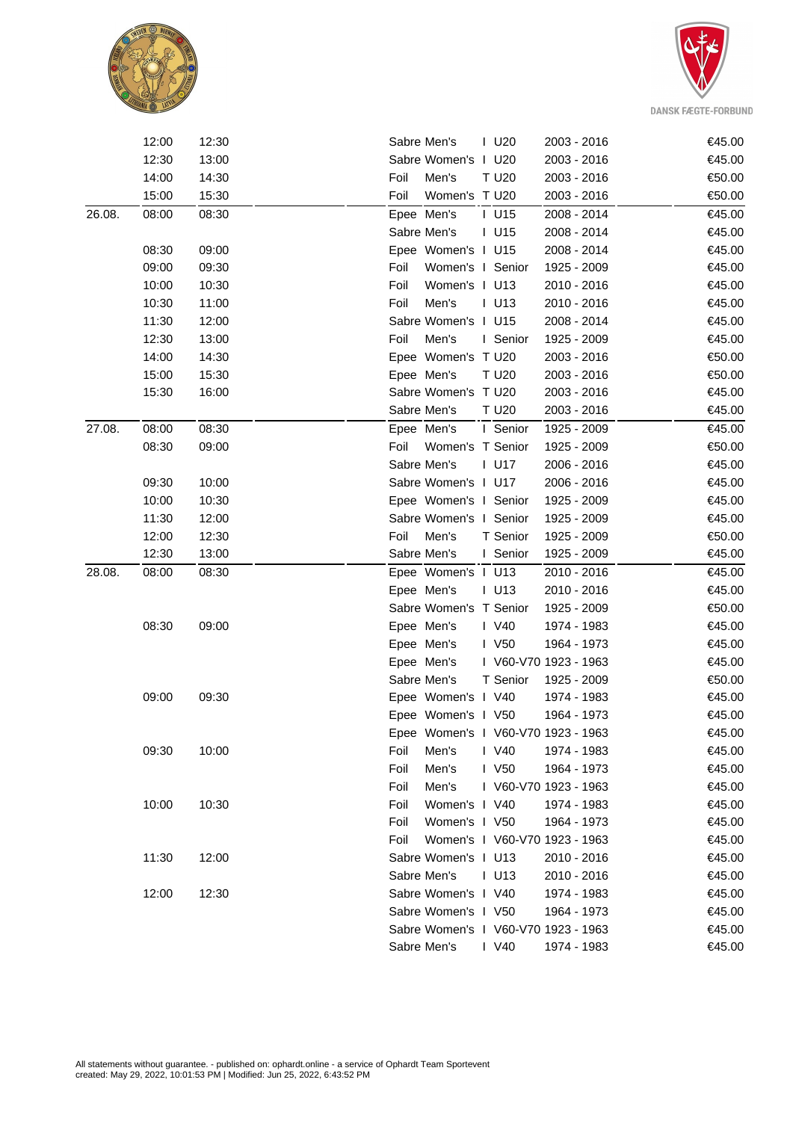



|        | 12:00 | 12:30 |      | Sabre Men's                         | $I$ U20               | 2003 - 2016 | €45.00 |
|--------|-------|-------|------|-------------------------------------|-----------------------|-------------|--------|
|        | 12:30 | 13:00 |      | Sabre Women's I U20                 |                       | 2003 - 2016 | €45.00 |
|        | 14:00 | 14:30 | Foil | Men's                               | T U20                 | 2003 - 2016 | €50.00 |
|        | 15:00 | 15:30 | Foil | Women's T U20                       |                       | 2003 - 2016 | €50.00 |
| 26.08. | 08:00 | 08:30 |      | Epee Men's                          | $I$ U15               | 2008 - 2014 | €45.00 |
|        |       |       |      | Sabre Men's                         | $I$ U15               | 2008 - 2014 | €45.00 |
|        | 08:30 | 09:00 |      | Epee Women's I U15                  |                       | 2008 - 2014 | €45.00 |
|        | 09:00 | 09:30 | Foil | Women's I Senior                    |                       | 1925 - 2009 | €45.00 |
|        | 10:00 | 10:30 | Foil | Women's I U13                       |                       | 2010 - 2016 | €45.00 |
|        | 10:30 | 11:00 | Foil | Men's                               | $I$ U13               | 2010 - 2016 | €45.00 |
|        | 11:30 | 12:00 |      | Sabre Women's I U15                 |                       | 2008 - 2014 | €45.00 |
|        | 12:30 | 13:00 | Foil | Men's                               | I Senior              | 1925 - 2009 | €45.00 |
|        | 14:00 | 14:30 |      | Epee Women's T U20                  |                       | 2003 - 2016 | €50.00 |
|        | 15:00 | 15:30 |      | Epee Men's                          | T U20                 | 2003 - 2016 | €50.00 |
|        | 15:30 | 16:00 |      | Sabre Women's T U20                 |                       | 2003 - 2016 | €45.00 |
|        |       |       |      | Sabre Men's                         | T U20                 | 2003 - 2016 | €45.00 |
| 27.08. | 08:00 | 08:30 |      | Epee Men's                          | I Senior              | 1925 - 2009 | €45.00 |
|        | 08:30 | 09:00 | Foil | Women's T Senior                    |                       | 1925 - 2009 | €50.00 |
|        |       |       |      | Sabre Men's                         | $I$ U17               | 2006 - 2016 | €45.00 |
|        | 09:30 | 10:00 |      | Sabre Women's I U17                 |                       | 2006 - 2016 | €45.00 |
|        | 10:00 | 10:30 |      | Epee Women's I Senior               |                       | 1925 - 2009 | €45.00 |
|        | 11:30 | 12:00 |      | Sabre Women's I Senior              |                       | 1925 - 2009 | €45.00 |
|        | 12:00 | 12:30 | Foil | Men's                               | T Senior              | 1925 - 2009 | €50.00 |
|        | 12:30 | 13:00 |      | Sabre Men's                         | I Senior              | 1925 - 2009 | €45.00 |
| 28.08. | 08:00 | 08:30 |      | Epee Women's I U13                  |                       | 2010 - 2016 | €45.00 |
|        |       |       |      | Epee Men's                          | $I$ U13               | 2010 - 2016 | €45.00 |
|        |       |       |      | Sabre Women's T Senior              |                       | 1925 - 2009 | €50.00 |
|        | 08:30 | 09:00 |      | Epee Men's                          | I V40                 | 1974 - 1983 | €45.00 |
|        |       |       |      | Epee Men's                          | $\sqrt{50}$           | 1964 - 1973 | €45.00 |
|        |       |       |      | Epee Men's                          | I V60-V70 1923 - 1963 |             | €45.00 |
|        |       |       |      | Sabre Men's                         | T Senior              | 1925 - 2009 | €50.00 |
|        | 09:00 | 09:30 |      | Epee Women's I V40                  |                       | 1974 - 1983 | €45.00 |
|        |       |       |      | Epee Women's I V50                  |                       | 1964 - 1973 | €45.00 |
|        |       |       |      | Epee Women's I V60-V70 1923 - 1963  |                       |             | €45.00 |
|        | 09:30 | 10:00 | Foil | Men's                               | I V40                 | 1974 - 1983 | €45.00 |
|        |       |       | Foil | Men's                               | I V50                 | 1964 - 1973 | €45.00 |
|        |       |       | Foil | Men's                               | I V60-V70 1923 - 1963 |             | €45.00 |
|        | 10:00 | 10:30 | Foil | Women's I V40                       |                       | 1974 - 1983 | €45.00 |
|        |       |       | Foil | Women's I V50                       |                       | 1964 - 1973 | €45.00 |
|        |       |       | Foil | Women's I V60-V70 1923 - 1963       |                       |             | €45.00 |
|        | 11:30 | 12:00 |      | Sabre Women's I U13                 |                       | 2010 - 2016 | €45.00 |
|        |       |       |      | Sabre Men's                         | $I$ U13               | 2010 - 2016 | €45.00 |
|        | 12:00 | 12:30 |      | Sabre Women's I V40                 |                       | 1974 - 1983 | €45.00 |
|        |       |       |      | Sabre Women's I V50                 |                       | 1964 - 1973 | €45.00 |
|        |       |       |      | Sabre Women's   V60-V70 1923 - 1963 |                       |             | €45.00 |
|        |       |       |      | Sabre Men's                         | $\mid$ V40            | 1974 - 1983 | €45.00 |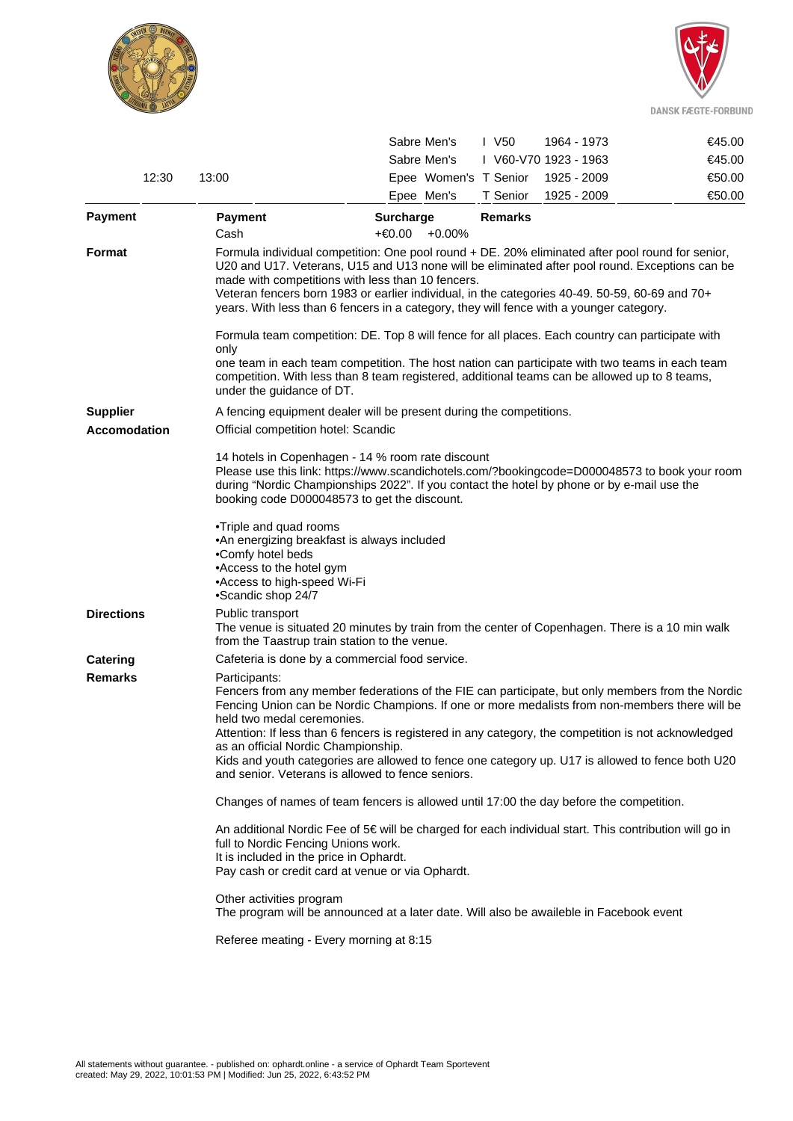



|                   |                                                                                                                                                                                                                                                                                                                                                                                                                                                                                                                                                                                                                                                                                                                                                                                                  | Sabre Men's                                                                                                                                                                                                                                  | $\mathsf{I}$ V <sub>50</sub><br>1964 - 1973                                             | €45.00 |  |  |  |  |  |  |  |
|-------------------|--------------------------------------------------------------------------------------------------------------------------------------------------------------------------------------------------------------------------------------------------------------------------------------------------------------------------------------------------------------------------------------------------------------------------------------------------------------------------------------------------------------------------------------------------------------------------------------------------------------------------------------------------------------------------------------------------------------------------------------------------------------------------------------------------|----------------------------------------------------------------------------------------------------------------------------------------------------------------------------------------------------------------------------------------------|-----------------------------------------------------------------------------------------|--------|--|--|--|--|--|--|--|
|                   |                                                                                                                                                                                                                                                                                                                                                                                                                                                                                                                                                                                                                                                                                                                                                                                                  | Sabre Men's                                                                                                                                                                                                                                  | I V60-V70 1923 - 1963                                                                   | €45.00 |  |  |  |  |  |  |  |
| 12:30             | 13:00                                                                                                                                                                                                                                                                                                                                                                                                                                                                                                                                                                                                                                                                                                                                                                                            | Epee Women's T Senior                                                                                                                                                                                                                        | 1925 - 2009                                                                             | €50.00 |  |  |  |  |  |  |  |
|                   |                                                                                                                                                                                                                                                                                                                                                                                                                                                                                                                                                                                                                                                                                                                                                                                                  | Epee Men's                                                                                                                                                                                                                                   | T Senior<br>1925 - 2009                                                                 | €50.00 |  |  |  |  |  |  |  |
| <b>Payment</b>    | Payment<br>Cash                                                                                                                                                                                                                                                                                                                                                                                                                                                                                                                                                                                                                                                                                                                                                                                  | <b>Surcharge</b><br>+€0.00<br>$+0.00\%$                                                                                                                                                                                                      | <b>Remarks</b>                                                                          |        |  |  |  |  |  |  |  |
| Format            | Formula individual competition: One pool round + DE. 20% eliminated after pool round for senior,<br>U20 and U17. Veterans, U15 and U13 none will be eliminated after pool round. Exceptions can be<br>made with competitions with less than 10 fencers.<br>Veteran fencers born 1983 or earlier individual, in the categories 40-49. 50-59, 60-69 and 70+<br>years. With less than 6 fencers in a category, they will fence with a younger category.<br>Formula team competition: DE. Top 8 will fence for all places. Each country can participate with<br>only<br>one team in each team competition. The host nation can participate with two teams in each team<br>competition. With less than 8 team registered, additional teams can be allowed up to 8 teams,<br>under the guidance of DT. |                                                                                                                                                                                                                                              |                                                                                         |        |  |  |  |  |  |  |  |
|                   |                                                                                                                                                                                                                                                                                                                                                                                                                                                                                                                                                                                                                                                                                                                                                                                                  |                                                                                                                                                                                                                                              |                                                                                         |        |  |  |  |  |  |  |  |
| <b>Supplier</b>   |                                                                                                                                                                                                                                                                                                                                                                                                                                                                                                                                                                                                                                                                                                                                                                                                  | A fencing equipment dealer will be present during the competitions.                                                                                                                                                                          |                                                                                         |        |  |  |  |  |  |  |  |
| Accomodation      |                                                                                                                                                                                                                                                                                                                                                                                                                                                                                                                                                                                                                                                                                                                                                                                                  | Official competition hotel: Scandic                                                                                                                                                                                                          |                                                                                         |        |  |  |  |  |  |  |  |
|                   | 14 hotels in Copenhagen - 14 % room rate discount<br>Please use this link: https://www.scandichotels.com/?bookingcode=D000048573 to book your room<br>during "Nordic Championships 2022". If you contact the hotel by phone or by e-mail use the<br>booking code D000048573 to get the discount.                                                                                                                                                                                                                                                                                                                                                                                                                                                                                                 |                                                                                                                                                                                                                                              |                                                                                         |        |  |  |  |  |  |  |  |
|                   | •Comfy hotel beds<br>•Scandic shop 24/7                                                                                                                                                                                                                                                                                                                                                                                                                                                                                                                                                                                                                                                                                                                                                          | •Triple and quad rooms<br>•An energizing breakfast is always included<br>•Access to the hotel gym<br>•Access to high-speed Wi-Fi                                                                                                             |                                                                                         |        |  |  |  |  |  |  |  |
| <b>Directions</b> | Public transport                                                                                                                                                                                                                                                                                                                                                                                                                                                                                                                                                                                                                                                                                                                                                                                 | The venue is situated 20 minutes by train from the center of Copenhagen. There is a 10 min walk<br>from the Taastrup train station to the venue.                                                                                             |                                                                                         |        |  |  |  |  |  |  |  |
| Catering          |                                                                                                                                                                                                                                                                                                                                                                                                                                                                                                                                                                                                                                                                                                                                                                                                  | Cafeteria is done by a commercial food service.                                                                                                                                                                                              |                                                                                         |        |  |  |  |  |  |  |  |
| <b>Remarks</b>    | Participants:<br>Fencers from any member federations of the FIE can participate, but only members from the Nordic<br>Fencing Union can be Nordic Champions. If one or more medalists from non-members there will be<br>held two medal ceremonies.<br>Attention: If less than 6 fencers is registered in any category, the competition is not acknowledged<br>as an official Nordic Championship.<br>Kids and youth categories are allowed to fence one category up. U17 is allowed to fence both U20<br>and senior. Veterans is allowed to fence seniors.                                                                                                                                                                                                                                        |                                                                                                                                                                                                                                              |                                                                                         |        |  |  |  |  |  |  |  |
|                   | Changes of names of team fencers is allowed until 17:00 the day before the competition.                                                                                                                                                                                                                                                                                                                                                                                                                                                                                                                                                                                                                                                                                                          |                                                                                                                                                                                                                                              |                                                                                         |        |  |  |  |  |  |  |  |
|                   |                                                                                                                                                                                                                                                                                                                                                                                                                                                                                                                                                                                                                                                                                                                                                                                                  | An additional Nordic Fee of 5€ will be charged for each individual start. This contribution will go in<br>full to Nordic Fencing Unions work.<br>It is included in the price in Ophardt.<br>Pay cash or credit card at venue or via Ophardt. |                                                                                         |        |  |  |  |  |  |  |  |
|                   | Other activities program                                                                                                                                                                                                                                                                                                                                                                                                                                                                                                                                                                                                                                                                                                                                                                         |                                                                                                                                                                                                                                              | The program will be announced at a later date. Will also be awaileble in Facebook event |        |  |  |  |  |  |  |  |
|                   | Referee meating - Every morning at 8:15                                                                                                                                                                                                                                                                                                                                                                                                                                                                                                                                                                                                                                                                                                                                                          |                                                                                                                                                                                                                                              |                                                                                         |        |  |  |  |  |  |  |  |